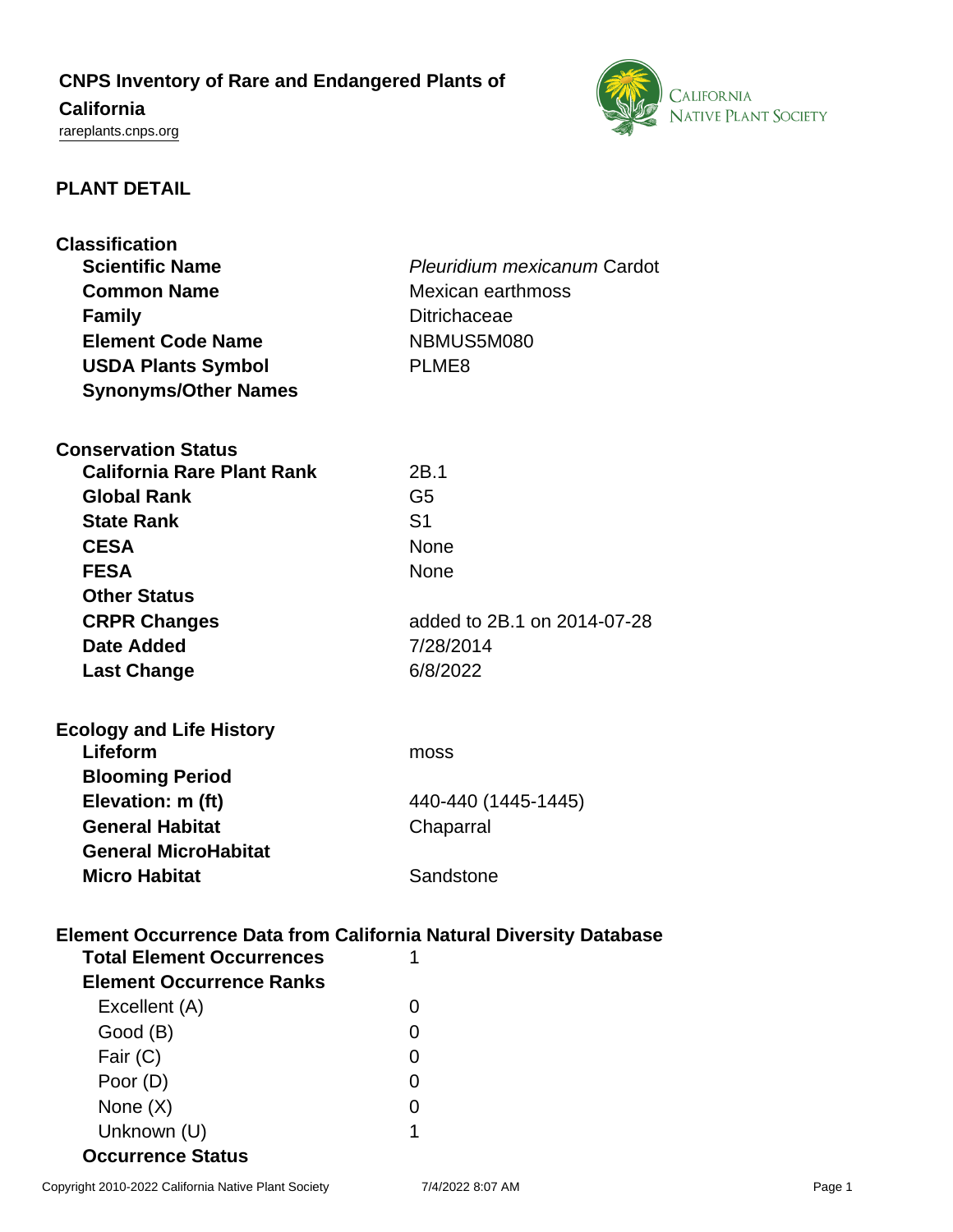# **CNPS Inventory of Rare and Endangered Plants of**

## **California**

<rareplants.cnps.org>



### **PLANT DETAIL**

| <b>Classification</b>                                                     |                             |
|---------------------------------------------------------------------------|-----------------------------|
| <b>Scientific Name</b>                                                    | Pleuridium mexicanum Cardot |
| <b>Common Name</b>                                                        | Mexican earthmoss           |
| <b>Family</b>                                                             | <b>Ditrichaceae</b>         |
| <b>Element Code Name</b>                                                  | NBMUS5M080                  |
| <b>USDA Plants Symbol</b>                                                 | PLME <sub>8</sub>           |
| <b>Synonyms/Other Names</b>                                               |                             |
|                                                                           |                             |
| <b>Conservation Status</b>                                                |                             |
| <b>California Rare Plant Rank</b>                                         | 2B.1                        |
| <b>Global Rank</b>                                                        | G <sub>5</sub>              |
| <b>State Rank</b>                                                         | S <sub>1</sub>              |
| <b>CESA</b>                                                               | None                        |
| <b>FESA</b>                                                               | <b>None</b>                 |
| <b>Other Status</b>                                                       |                             |
| <b>CRPR Changes</b>                                                       | added to 2B.1 on 2014-07-28 |
| Date Added                                                                | 7/28/2014                   |
| <b>Last Change</b>                                                        | 6/8/2022                    |
|                                                                           |                             |
| <b>Ecology and Life History</b>                                           |                             |
| Lifeform                                                                  | moss                        |
| <b>Blooming Period</b>                                                    |                             |
| Elevation: m (ft)                                                         | 440-440 (1445-1445)         |
| <b>General Habitat</b>                                                    | Chaparral                   |
|                                                                           |                             |
| <b>General MicroHabitat</b>                                               |                             |
| <b>Micro Habitat</b>                                                      | Sandstone                   |
|                                                                           |                             |
| <b>Element Occurrence Data from California Natural Diversity Database</b> |                             |
| <b>Total Element Occurrences</b>                                          | 1                           |
| <b>Element Occurrence Ranks</b>                                           |                             |
| Excellent (A)                                                             | 0                           |
| Good (B)                                                                  | 0                           |
| Fair (C)                                                                  | 0                           |
| Poor (D)                                                                  | 0                           |
| None $(X)$                                                                | 0                           |

**Occurrence Status**

Unknown (U) 1